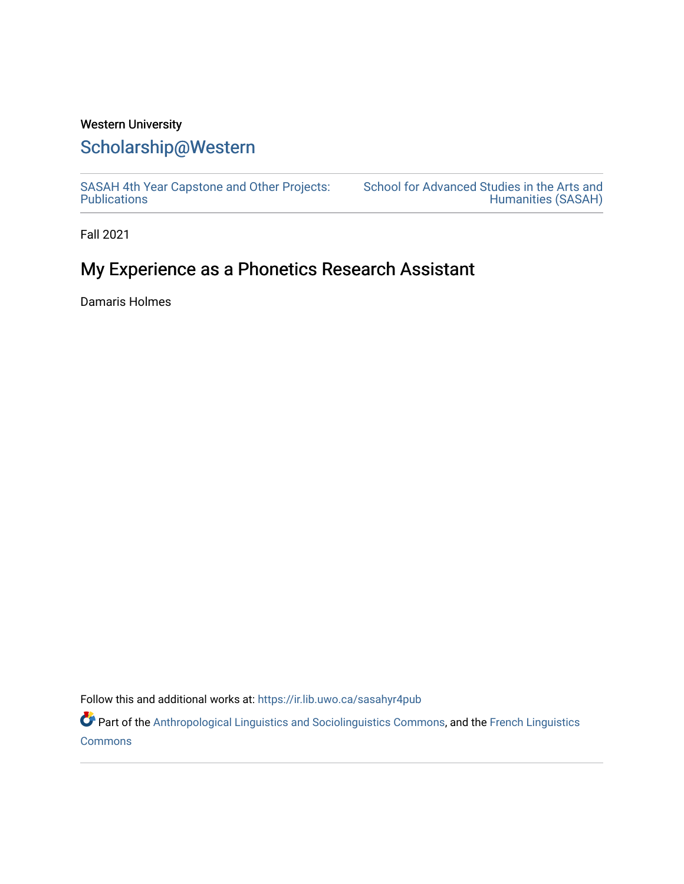# Western University

### [Scholarship@Western](https://ir.lib.uwo.ca/)

[SASAH 4th Year Capstone and Other Projects:](https://ir.lib.uwo.ca/sasahyr4pub)  **Publications** 

[School for Advanced Studies in the Arts and](https://ir.lib.uwo.ca/sasah)  [Humanities \(SASAH\)](https://ir.lib.uwo.ca/sasah) 

Fall 2021

## My Experience as a Phonetics Research Assistant

Damaris Holmes

Follow this and additional works at: [https://ir.lib.uwo.ca/sasahyr4pub](https://ir.lib.uwo.ca/sasahyr4pub?utm_source=ir.lib.uwo.ca%2Fsasahyr4pub%2F40&utm_medium=PDF&utm_campaign=PDFCoverPages) 

Part of the [Anthropological Linguistics and Sociolinguistics Commons,](http://network.bepress.com/hgg/discipline/372?utm_source=ir.lib.uwo.ca%2Fsasahyr4pub%2F40&utm_medium=PDF&utm_campaign=PDFCoverPages) and the [French Linguistics](http://network.bepress.com/hgg/discipline/464?utm_source=ir.lib.uwo.ca%2Fsasahyr4pub%2F40&utm_medium=PDF&utm_campaign=PDFCoverPages) **[Commons](http://network.bepress.com/hgg/discipline/464?utm_source=ir.lib.uwo.ca%2Fsasahyr4pub%2F40&utm_medium=PDF&utm_campaign=PDFCoverPages)**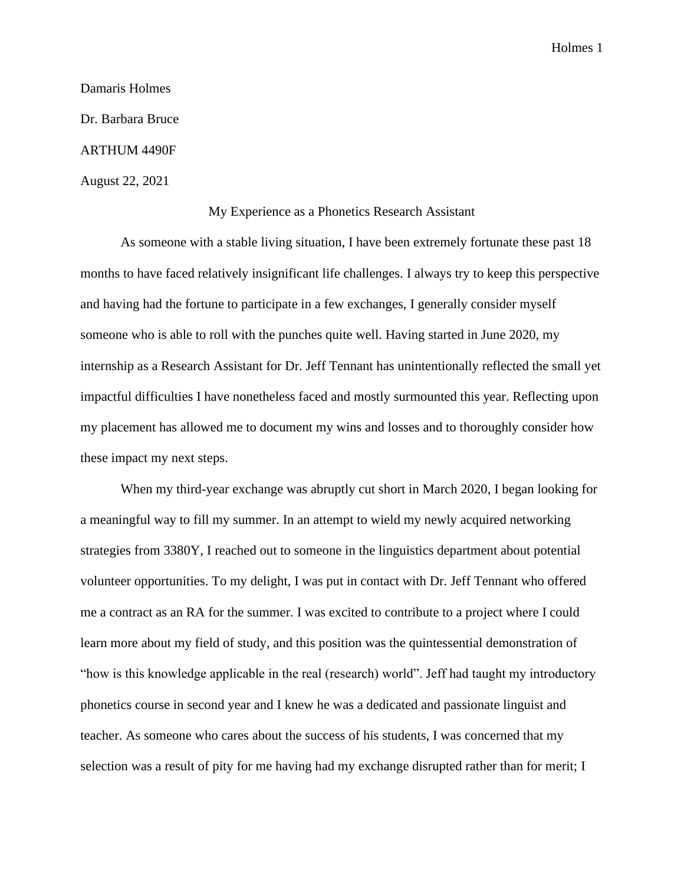Damaris Holmes Dr. Barbara Bruce ARTHUM 4490F August 22, 2021

#### My Experience as a Phonetics Research Assistant

As someone with a stable living situation, I have been extremely fortunate these past 18 months to have faced relatively insignificant life challenges. I always try to keep this perspective and having had the fortune to participate in a few exchanges, I generally consider myself someone who is able to roll with the punches quite well. Having started in June 2020, my internship as a Research Assistant for Dr. Jeff Tennant has unintentionally reflected the small yet impactful difficulties I have nonetheless faced and mostly surmounted this year. Reflecting upon my placement has allowed me to document my wins and losses and to thoroughly consider how these impact my next steps.

When my third-year exchange was abruptly cut short in March 2020, I began looking for a meaningful way to fill my summer. In an attempt to wield my newly acquired networking strategies from 3380Y, I reached out to someone in the linguistics department about potential volunteer opportunities. To my delight, I was put in contact with Dr. Jeff Tennant who offered me a contract as an RA for the summer. I was excited to contribute to a project where I could learn more about my field of study, and this position was the quintessential demonstration of "how is this knowledge applicable in the real (research) world". Jeff had taught my introductory phonetics course in second year and I knew he was a dedicated and passionate linguist and teacher. As someone who cares about the success of his students, I was concerned that my selection was a result of pity for me having had my exchange disrupted rather than for merit; I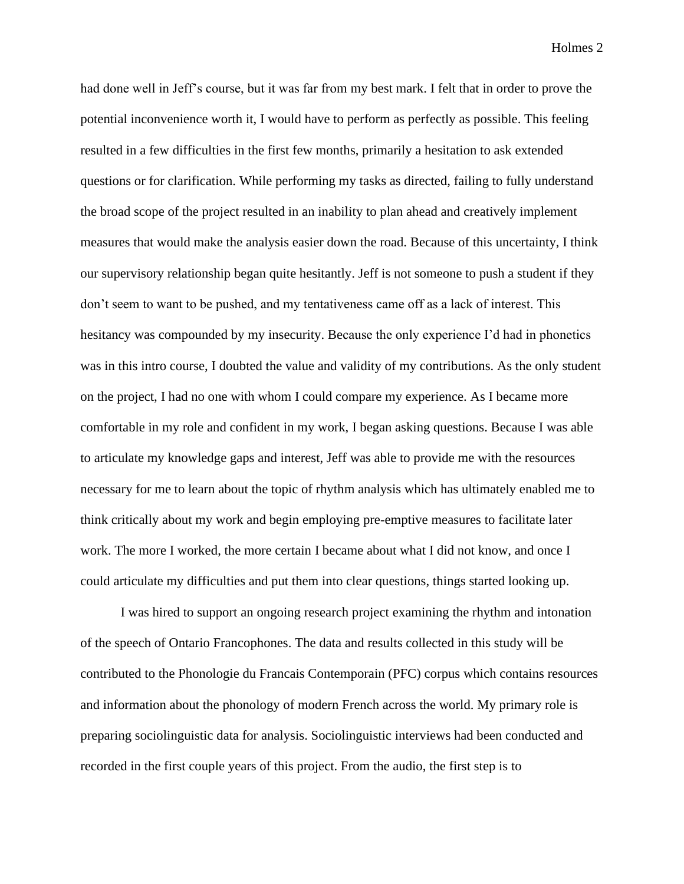had done well in Jeff's course, but it was far from my best mark. I felt that in order to prove the potential inconvenience worth it, I would have to perform as perfectly as possible. This feeling resulted in a few difficulties in the first few months, primarily a hesitation to ask extended questions or for clarification. While performing my tasks as directed, failing to fully understand the broad scope of the project resulted in an inability to plan ahead and creatively implement measures that would make the analysis easier down the road. Because of this uncertainty, I think our supervisory relationship began quite hesitantly. Jeff is not someone to push a student if they don't seem to want to be pushed, and my tentativeness came off as a lack of interest. This hesitancy was compounded by my insecurity. Because the only experience I'd had in phonetics was in this intro course, I doubted the value and validity of my contributions. As the only student on the project, I had no one with whom I could compare my experience. As I became more comfortable in my role and confident in my work, I began asking questions. Because I was able to articulate my knowledge gaps and interest, Jeff was able to provide me with the resources necessary for me to learn about the topic of rhythm analysis which has ultimately enabled me to think critically about my work and begin employing pre-emptive measures to facilitate later work. The more I worked, the more certain I became about what I did not know, and once I could articulate my difficulties and put them into clear questions, things started looking up.

I was hired to support an ongoing research project examining the rhythm and intonation of the speech of Ontario Francophones. The data and results collected in this study will be contributed to the Phonologie du Francais Contemporain (PFC) corpus which contains resources and information about the phonology of modern French across the world. My primary role is preparing sociolinguistic data for analysis. Sociolinguistic interviews had been conducted and recorded in the first couple years of this project. From the audio, the first step is to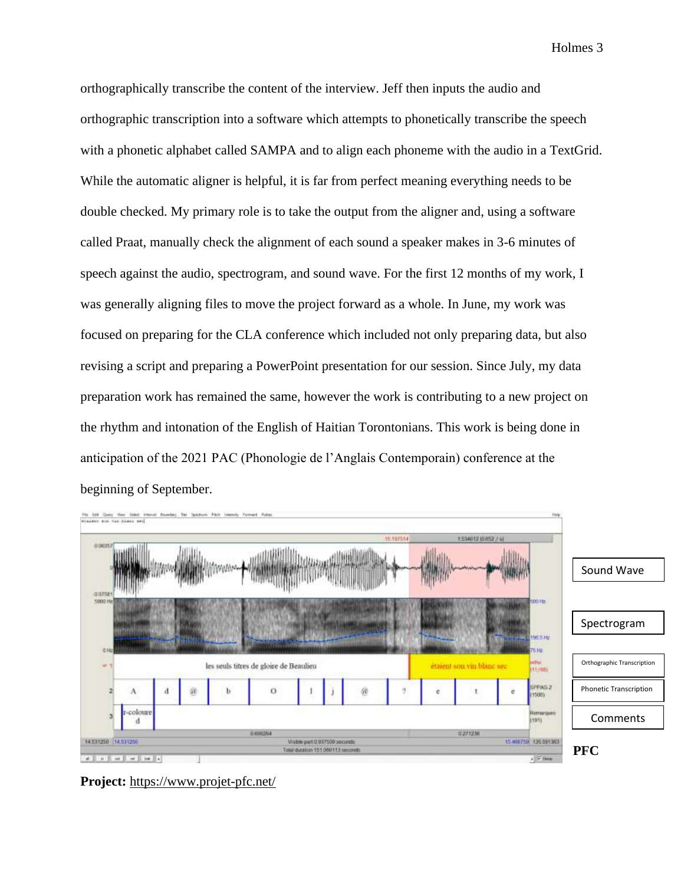orthographically transcribe the content of the interview. Jeff then inputs the audio and orthographic transcription into a software which attempts to phonetically transcribe the speech with a phonetic alphabet called SAMPA and to align each phoneme with the audio in a TextGrid. While the automatic aligner is helpful, it is far from perfect meaning everything needs to be double checked. My primary role is to take the output from the aligner and, using a software called Praat, manually check the alignment of each sound a speaker makes in 3-6 minutes of speech against the audio, spectrogram, and sound wave. For the first 12 months of my work, I was generally aligning files to move the project forward as a whole. In June, my work was focused on preparing for the CLA conference which included not only preparing data, but also revising a script and preparing a PowerPoint presentation for our session. Since July, my data preparation work has remained the same, however the work is contributing to a new project on the rhythm and intonation of the English of Haitian Torontonians. This work is being done in anticipation of the 2021 PAC (Phonologie de l'Anglais Contemporain) conference at the beginning of September.



**Project:** <https://www.projet-pfc.net/>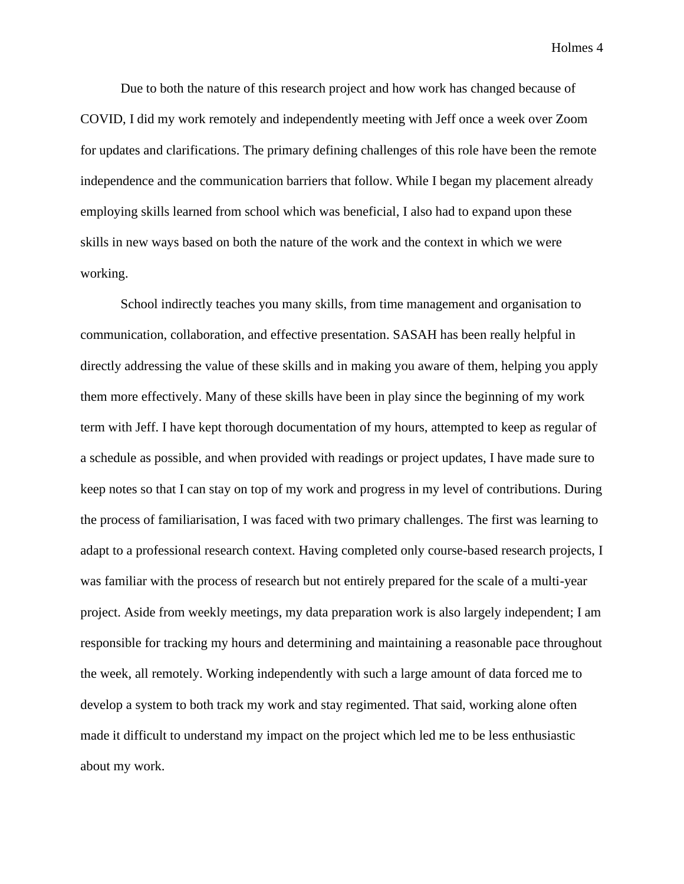Due to both the nature of this research project and how work has changed because of COVID, I did my work remotely and independently meeting with Jeff once a week over Zoom for updates and clarifications. The primary defining challenges of this role have been the remote independence and the communication barriers that follow. While I began my placement already employing skills learned from school which was beneficial, I also had to expand upon these skills in new ways based on both the nature of the work and the context in which we were working.

School indirectly teaches you many skills, from time management and organisation to communication, collaboration, and effective presentation. SASAH has been really helpful in directly addressing the value of these skills and in making you aware of them, helping you apply them more effectively. Many of these skills have been in play since the beginning of my work term with Jeff. I have kept thorough documentation of my hours, attempted to keep as regular of a schedule as possible, and when provided with readings or project updates, I have made sure to keep notes so that I can stay on top of my work and progress in my level of contributions. During the process of familiarisation, I was faced with two primary challenges. The first was learning to adapt to a professional research context. Having completed only course-based research projects, I was familiar with the process of research but not entirely prepared for the scale of a multi-year project. Aside from weekly meetings, my data preparation work is also largely independent; I am responsible for tracking my hours and determining and maintaining a reasonable pace throughout the week, all remotely. Working independently with such a large amount of data forced me to develop a system to both track my work and stay regimented. That said, working alone often made it difficult to understand my impact on the project which led me to be less enthusiastic about my work.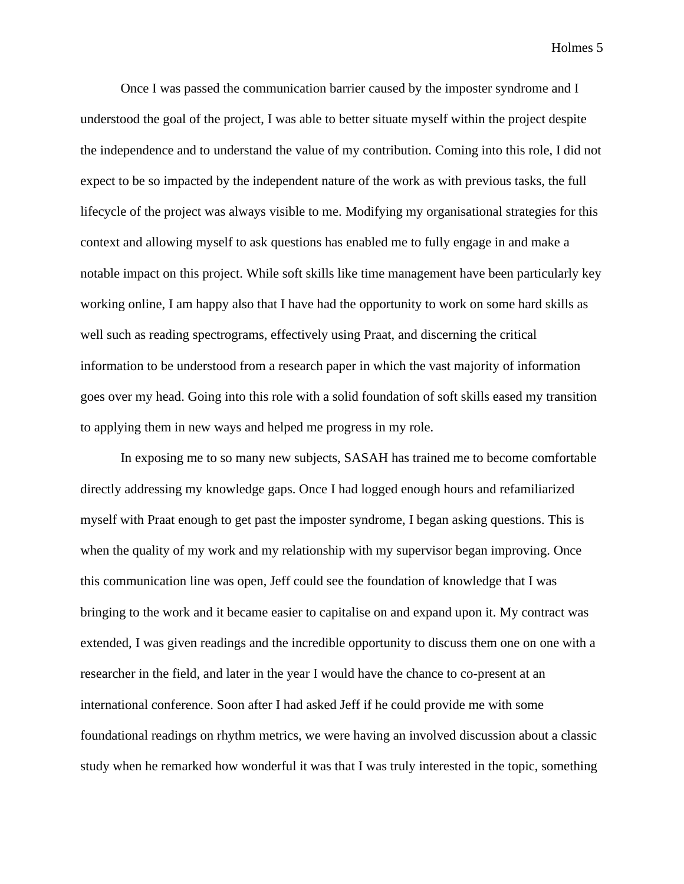Once I was passed the communication barrier caused by the imposter syndrome and I understood the goal of the project, I was able to better situate myself within the project despite the independence and to understand the value of my contribution. Coming into this role, I did not expect to be so impacted by the independent nature of the work as with previous tasks, the full lifecycle of the project was always visible to me. Modifying my organisational strategies for this context and allowing myself to ask questions has enabled me to fully engage in and make a notable impact on this project. While soft skills like time management have been particularly key working online, I am happy also that I have had the opportunity to work on some hard skills as well such as reading spectrograms, effectively using Praat, and discerning the critical information to be understood from a research paper in which the vast majority of information goes over my head. Going into this role with a solid foundation of soft skills eased my transition to applying them in new ways and helped me progress in my role.

In exposing me to so many new subjects, SASAH has trained me to become comfortable directly addressing my knowledge gaps. Once I had logged enough hours and refamiliarized myself with Praat enough to get past the imposter syndrome, I began asking questions. This is when the quality of my work and my relationship with my supervisor began improving. Once this communication line was open, Jeff could see the foundation of knowledge that I was bringing to the work and it became easier to capitalise on and expand upon it. My contract was extended, I was given readings and the incredible opportunity to discuss them one on one with a researcher in the field, and later in the year I would have the chance to co-present at an international conference. Soon after I had asked Jeff if he could provide me with some foundational readings on rhythm metrics, we were having an involved discussion about a classic study when he remarked how wonderful it was that I was truly interested in the topic, something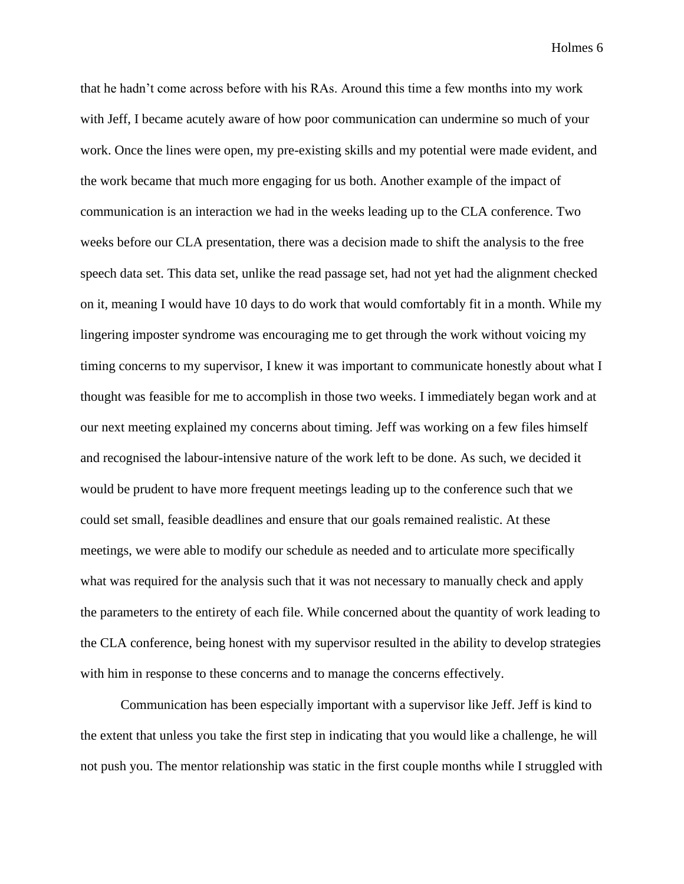that he hadn't come across before with his RAs. Around this time a few months into my work with Jeff, I became acutely aware of how poor communication can undermine so much of your work. Once the lines were open, my pre-existing skills and my potential were made evident, and the work became that much more engaging for us both. Another example of the impact of communication is an interaction we had in the weeks leading up to the CLA conference. Two weeks before our CLA presentation, there was a decision made to shift the analysis to the free speech data set. This data set, unlike the read passage set, had not yet had the alignment checked on it, meaning I would have 10 days to do work that would comfortably fit in a month. While my lingering imposter syndrome was encouraging me to get through the work without voicing my timing concerns to my supervisor, I knew it was important to communicate honestly about what I thought was feasible for me to accomplish in those two weeks. I immediately began work and at our next meeting explained my concerns about timing. Jeff was working on a few files himself and recognised the labour-intensive nature of the work left to be done. As such, we decided it would be prudent to have more frequent meetings leading up to the conference such that we could set small, feasible deadlines and ensure that our goals remained realistic. At these meetings, we were able to modify our schedule as needed and to articulate more specifically what was required for the analysis such that it was not necessary to manually check and apply the parameters to the entirety of each file. While concerned about the quantity of work leading to the CLA conference, being honest with my supervisor resulted in the ability to develop strategies with him in response to these concerns and to manage the concerns effectively.

Communication has been especially important with a supervisor like Jeff. Jeff is kind to the extent that unless you take the first step in indicating that you would like a challenge, he will not push you. The mentor relationship was static in the first couple months while I struggled with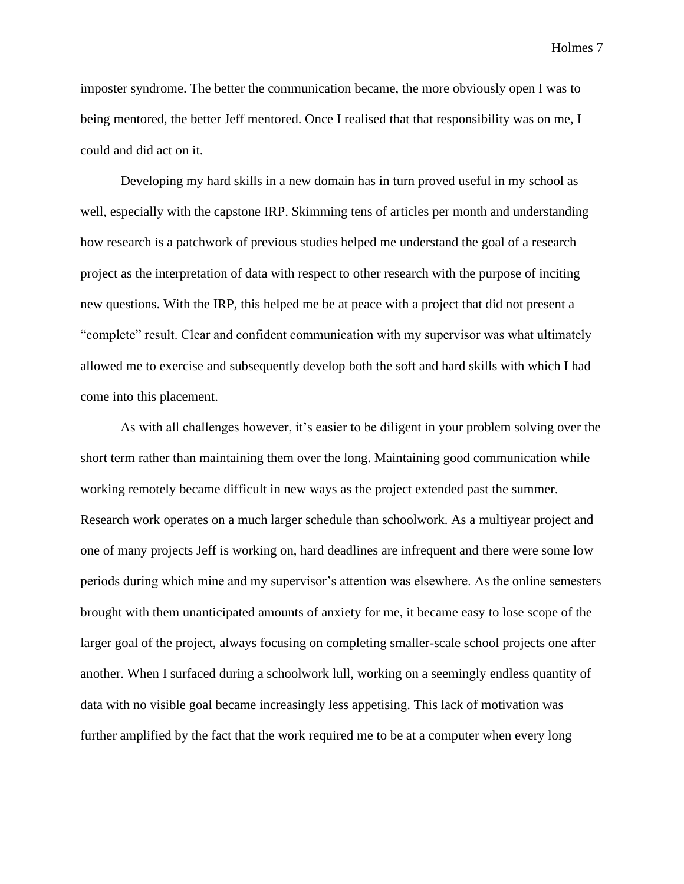imposter syndrome. The better the communication became, the more obviously open I was to being mentored, the better Jeff mentored. Once I realised that that responsibility was on me, I could and did act on it.

Developing my hard skills in a new domain has in turn proved useful in my school as well, especially with the capstone IRP. Skimming tens of articles per month and understanding how research is a patchwork of previous studies helped me understand the goal of a research project as the interpretation of data with respect to other research with the purpose of inciting new questions. With the IRP, this helped me be at peace with a project that did not present a "complete" result. Clear and confident communication with my supervisor was what ultimately allowed me to exercise and subsequently develop both the soft and hard skills with which I had come into this placement.

As with all challenges however, it's easier to be diligent in your problem solving over the short term rather than maintaining them over the long. Maintaining good communication while working remotely became difficult in new ways as the project extended past the summer. Research work operates on a much larger schedule than schoolwork. As a multiyear project and one of many projects Jeff is working on, hard deadlines are infrequent and there were some low periods during which mine and my supervisor's attention was elsewhere. As the online semesters brought with them unanticipated amounts of anxiety for me, it became easy to lose scope of the larger goal of the project, always focusing on completing smaller-scale school projects one after another. When I surfaced during a schoolwork lull, working on a seemingly endless quantity of data with no visible goal became increasingly less appetising. This lack of motivation was further amplified by the fact that the work required me to be at a computer when every long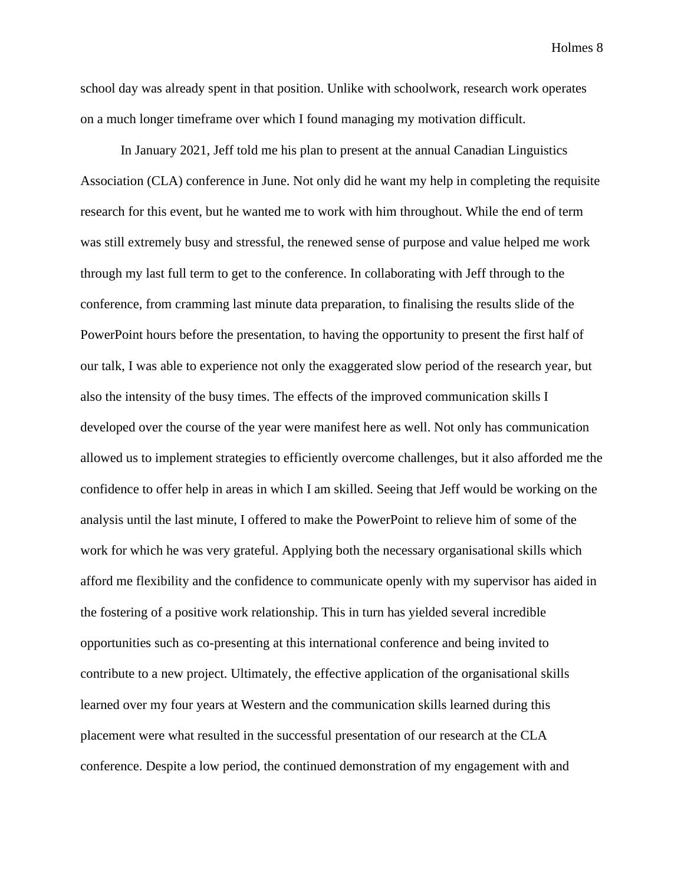school day was already spent in that position. Unlike with schoolwork, research work operates on a much longer timeframe over which I found managing my motivation difficult.

In January 2021, Jeff told me his plan to present at the annual Canadian Linguistics Association (CLA) conference in June. Not only did he want my help in completing the requisite research for this event, but he wanted me to work with him throughout. While the end of term was still extremely busy and stressful, the renewed sense of purpose and value helped me work through my last full term to get to the conference. In collaborating with Jeff through to the conference, from cramming last minute data preparation, to finalising the results slide of the PowerPoint hours before the presentation, to having the opportunity to present the first half of our talk, I was able to experience not only the exaggerated slow period of the research year, but also the intensity of the busy times. The effects of the improved communication skills I developed over the course of the year were manifest here as well. Not only has communication allowed us to implement strategies to efficiently overcome challenges, but it also afforded me the confidence to offer help in areas in which I am skilled. Seeing that Jeff would be working on the analysis until the last minute, I offered to make the PowerPoint to relieve him of some of the work for which he was very grateful. Applying both the necessary organisational skills which afford me flexibility and the confidence to communicate openly with my supervisor has aided in the fostering of a positive work relationship. This in turn has yielded several incredible opportunities such as co-presenting at this international conference and being invited to contribute to a new project. Ultimately, the effective application of the organisational skills learned over my four years at Western and the communication skills learned during this placement were what resulted in the successful presentation of our research at the CLA conference. Despite a low period, the continued demonstration of my engagement with and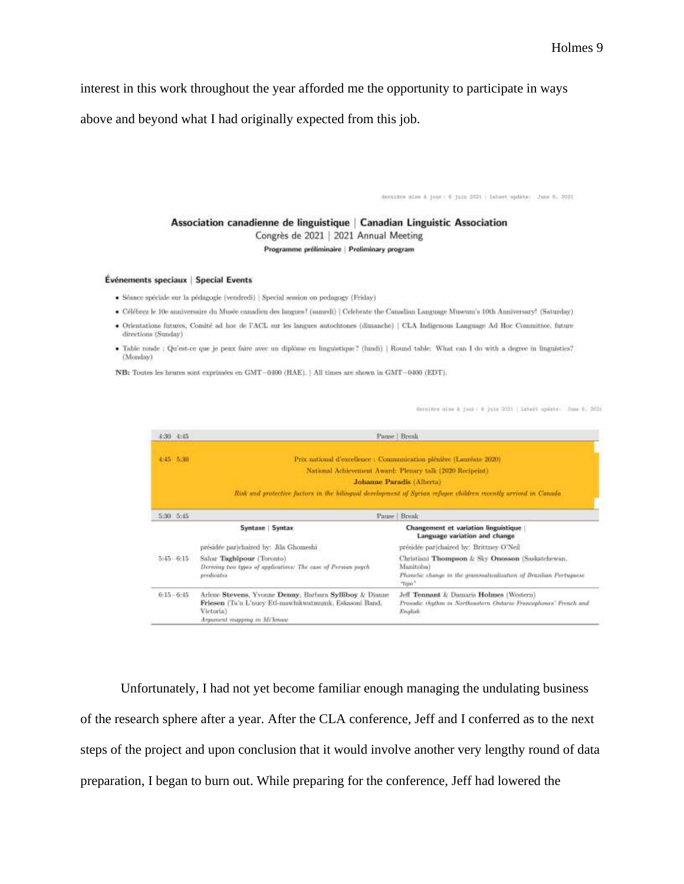interest in this work throughout the year afforded me the opportunity to participate in ways

above and beyond what I had originally expected from this job.

dernière sies à juan : 6 juin 2021 | latest spiete: Juan 6, 2021

Association canadienne de linguistique | Canadian Linguistic Association

Congrès de 2021 | 2021 Annual Meeting

Programme préliminaire | Preliminary program

#### Événements speciaux | Special Events

- · Séance spéciale sur la pédagogie (vendredi) | Special session on pedagogy (Friday)
- · Célébrez le 10e anniversaire du Musée canadien des langues! (samedi) | Celebrate the Canadian Language Museum's 10th Anniversary! (Saturday)
- · Orientations futures, Comité ad hoc de l'ACL sur les langues autochtones (dimanche) | CLA Indigenous Language Ad Hoc Committee, future directions (Sunday)
- . Table ronde : Qu'est-on que je peux faire avec un diplôme en linguistique? (hundi) | Round table: What can I do with a degree in linguistics? (Monday)

NB: Toutes les heures sont exprimées en GMT-0400 (HAE). | All times are shown in GMT-0400 (EDT).

dormitre mine à jour : 0 juin 2021 | Detert opdate : June 0, 2021

| $1.30 - 1.45$ |                                                                                                                                                                | Pause   Brenk                                                                                                         |
|---------------|----------------------------------------------------------------------------------------------------------------------------------------------------------------|-----------------------------------------------------------------------------------------------------------------------|
| 4:45 5:30     | Prix national d'excellence : Communication plénière (Lauréate 2020).                                                                                           |                                                                                                                       |
|               | National Achievement Award: Plemary talk (2020 Recipeint).                                                                                                     |                                                                                                                       |
|               | Johanne Paradis (Alberta)                                                                                                                                      |                                                                                                                       |
|               |                                                                                                                                                                | Risk and protective factors in the bilingual development of Syrian refugee children vecently arrived in Canada        |
| 5:30 5:45     | Pause Break                                                                                                                                                    |                                                                                                                       |
|               | Syntaxe   Syntax                                                                                                                                               | Changement et variation linguistique<br>Language variation and change                                                 |
|               | présidée par chaired by: Jila Ghomeshi                                                                                                                         | presidée par chaired by: Brittney O'Neil                                                                              |
| $5 - 6.15$    | Sahar Taghipour (Toronto)<br>Deriving two types of applications: The case of Persian paych                                                                     | Christiani Thompson & Sky Onosson (Saskatchewan,<br>Manitoba)                                                         |
|               | predicates                                                                                                                                                     | Phonetic change in the grammaticalization of Brazilian Portuguese<br>"Tipo"                                           |
| $0:15 - 6:45$ | Ariene Stevens, Yvonne Denny, Barbara Sylliboy & Dianue<br>Friesen (Ta'n L'nuev Eti-mawhikwatmumk, Eskasoni Band.)<br>Victoria)<br>Argument mapping in Mi'kwaw | Jeff Tennant & Damaris Holmes (Western)<br>Prosidic rhythm in Northmstern Ontario Francophones' Franch and<br>English |

Unfortunately, I had not yet become familiar enough managing the undulating business of the research sphere after a year. After the CLA conference, Jeff and I conferred as to the next steps of the project and upon conclusion that it would involve another very lengthy round of data preparation, I began to burn out. While preparing for the conference, Jeff had lowered the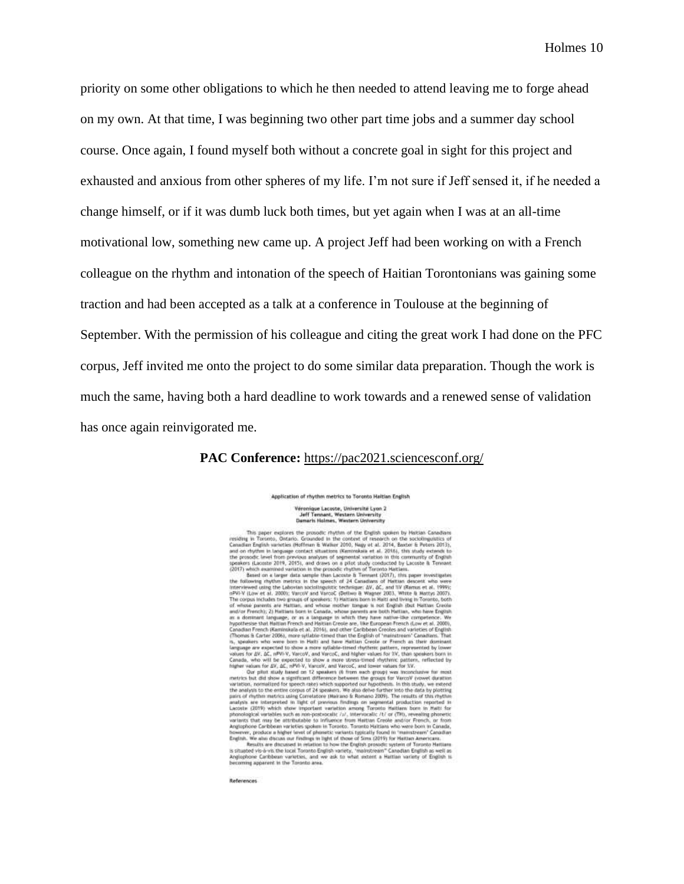priority on some other obligations to which he then needed to attend leaving me to forge ahead on my own. At that time, I was beginning two other part time jobs and a summer day school course. Once again, I found myself both without a concrete goal in sight for this project and exhausted and anxious from other spheres of my life. I'm not sure if Jeff sensed it, if he needed a change himself, or if it was dumb luck both times, but yet again when I was at an all-time motivational low, something new came up. A project Jeff had been working on with a French colleague on the rhythm and intonation of the speech of Haitian Torontonians was gaining some traction and had been accepted as a talk at a conference in Toulouse at the beginning of September. With the permission of his colleague and citing the great work I had done on the PFC corpus, Jeff invited me onto the project to do some similar data preparation. Though the work is much the same, having both a hard deadline to work towards and a renewed sense of validation has once again reinvigorated me.

### **PAC Conference:** <https://pac2021.sciencesconf.org/>

Application of rhythm metrics to Toronto Haitlan English Véronique Lacoste, Université Lyon 2<br>Jeff Tennant, Western University<br>Damaris Holmes, Western University

 $\label{eq:20} \begin{minipage}[t]{0.9\textwidth}\begin{tabular}{0.9\textwidth}\textbf{D} & \textbf{J} & \textbf{J} & \textbf{J} & \textbf{J} & \textbf{J} & \textbf{J} & \textbf{J} & \textbf{J} & \textbf{J} & \textbf{J} & \textbf{J} & \textbf{J} & \textbf{J} & \textbf{J} & \textbf{J} & \textbf{J} & \textbf{J} & \textbf{J} & \textbf{J} & \textbf{J} & \textbf{J} & \textbf{J} & \textbf{J} & \textbf{J} & \textbf{J} & \textbf$ 

References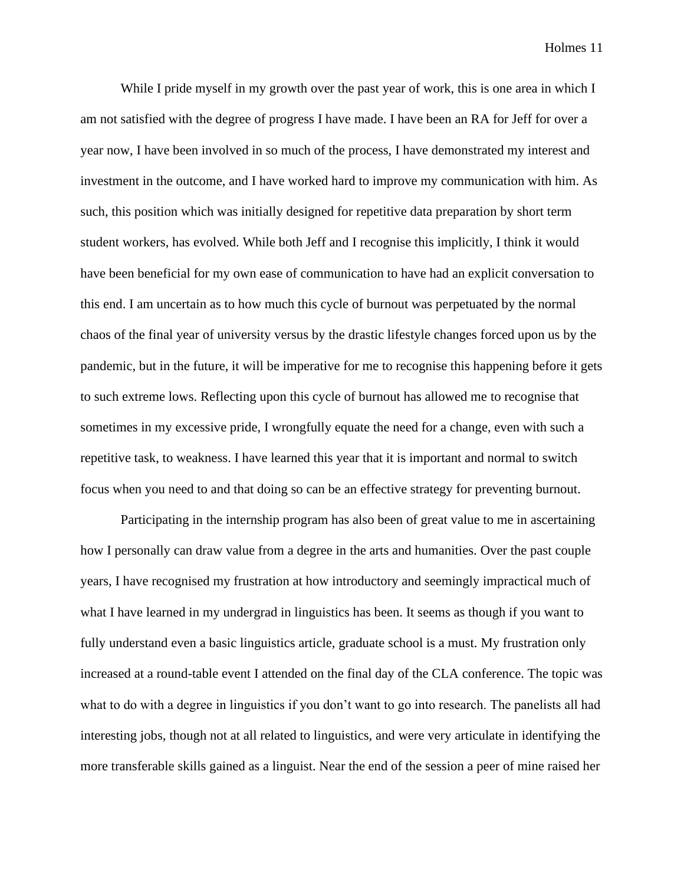While I pride myself in my growth over the past year of work, this is one area in which I am not satisfied with the degree of progress I have made. I have been an RA for Jeff for over a year now, I have been involved in so much of the process, I have demonstrated my interest and investment in the outcome, and I have worked hard to improve my communication with him. As such, this position which was initially designed for repetitive data preparation by short term student workers, has evolved. While both Jeff and I recognise this implicitly, I think it would have been beneficial for my own ease of communication to have had an explicit conversation to this end. I am uncertain as to how much this cycle of burnout was perpetuated by the normal chaos of the final year of university versus by the drastic lifestyle changes forced upon us by the pandemic, but in the future, it will be imperative for me to recognise this happening before it gets to such extreme lows. Reflecting upon this cycle of burnout has allowed me to recognise that sometimes in my excessive pride, I wrongfully equate the need for a change, even with such a repetitive task, to weakness. I have learned this year that it is important and normal to switch focus when you need to and that doing so can be an effective strategy for preventing burnout.

Participating in the internship program has also been of great value to me in ascertaining how I personally can draw value from a degree in the arts and humanities. Over the past couple years, I have recognised my frustration at how introductory and seemingly impractical much of what I have learned in my undergrad in linguistics has been. It seems as though if you want to fully understand even a basic linguistics article, graduate school is a must. My frustration only increased at a round-table event I attended on the final day of the CLA conference. The topic was what to do with a degree in linguistics if you don't want to go into research. The panelists all had interesting jobs, though not at all related to linguistics, and were very articulate in identifying the more transferable skills gained as a linguist. Near the end of the session a peer of mine raised her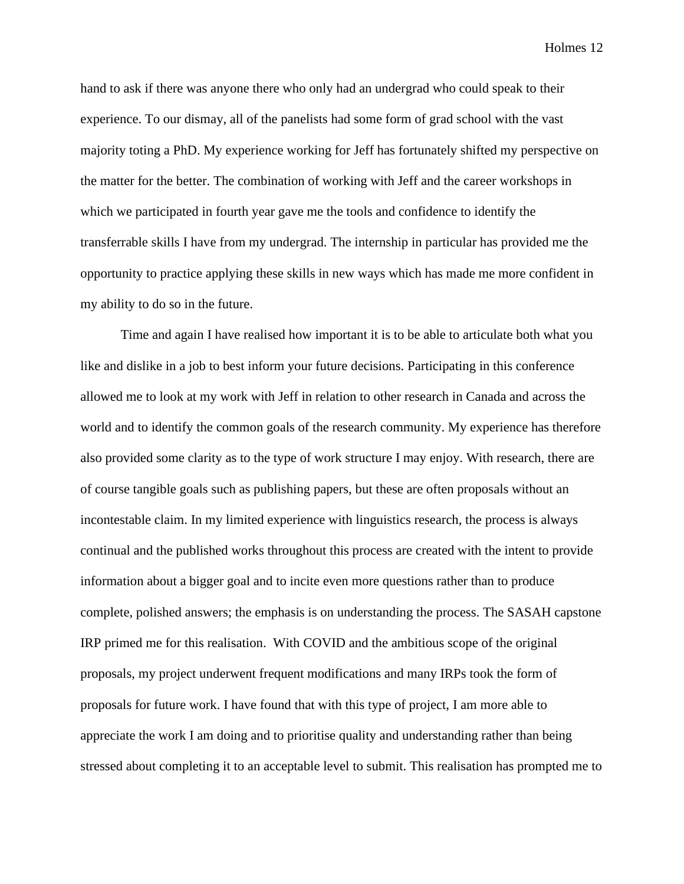hand to ask if there was anyone there who only had an undergrad who could speak to their experience. To our dismay, all of the panelists had some form of grad school with the vast majority toting a PhD. My experience working for Jeff has fortunately shifted my perspective on the matter for the better. The combination of working with Jeff and the career workshops in which we participated in fourth year gave me the tools and confidence to identify the transferrable skills I have from my undergrad. The internship in particular has provided me the opportunity to practice applying these skills in new ways which has made me more confident in my ability to do so in the future.

Time and again I have realised how important it is to be able to articulate both what you like and dislike in a job to best inform your future decisions. Participating in this conference allowed me to look at my work with Jeff in relation to other research in Canada and across the world and to identify the common goals of the research community. My experience has therefore also provided some clarity as to the type of work structure I may enjoy. With research, there are of course tangible goals such as publishing papers, but these are often proposals without an incontestable claim. In my limited experience with linguistics research, the process is always continual and the published works throughout this process are created with the intent to provide information about a bigger goal and to incite even more questions rather than to produce complete, polished answers; the emphasis is on understanding the process. The SASAH capstone IRP primed me for this realisation. With COVID and the ambitious scope of the original proposals, my project underwent frequent modifications and many IRPs took the form of proposals for future work. I have found that with this type of project, I am more able to appreciate the work I am doing and to prioritise quality and understanding rather than being stressed about completing it to an acceptable level to submit. This realisation has prompted me to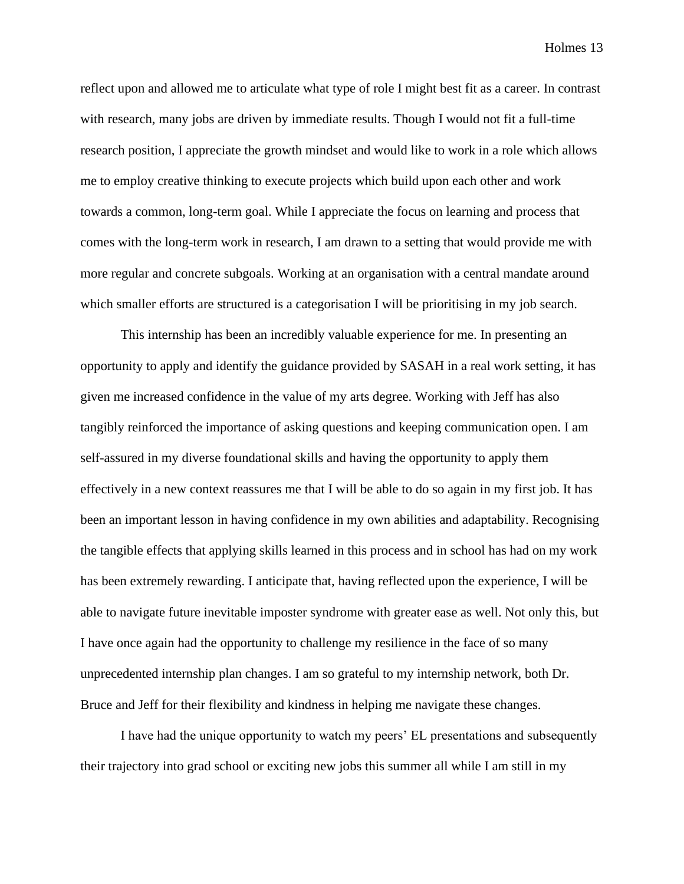reflect upon and allowed me to articulate what type of role I might best fit as a career. In contrast with research, many jobs are driven by immediate results. Though I would not fit a full-time research position, I appreciate the growth mindset and would like to work in a role which allows me to employ creative thinking to execute projects which build upon each other and work towards a common, long-term goal. While I appreciate the focus on learning and process that comes with the long-term work in research, I am drawn to a setting that would provide me with more regular and concrete subgoals. Working at an organisation with a central mandate around which smaller efforts are structured is a categorisation I will be prioritising in my job search.

This internship has been an incredibly valuable experience for me. In presenting an opportunity to apply and identify the guidance provided by SASAH in a real work setting, it has given me increased confidence in the value of my arts degree. Working with Jeff has also tangibly reinforced the importance of asking questions and keeping communication open. I am self-assured in my diverse foundational skills and having the opportunity to apply them effectively in a new context reassures me that I will be able to do so again in my first job. It has been an important lesson in having confidence in my own abilities and adaptability. Recognising the tangible effects that applying skills learned in this process and in school has had on my work has been extremely rewarding. I anticipate that, having reflected upon the experience, I will be able to navigate future inevitable imposter syndrome with greater ease as well. Not only this, but I have once again had the opportunity to challenge my resilience in the face of so many unprecedented internship plan changes. I am so grateful to my internship network, both Dr. Bruce and Jeff for their flexibility and kindness in helping me navigate these changes.

I have had the unique opportunity to watch my peers' EL presentations and subsequently their trajectory into grad school or exciting new jobs this summer all while I am still in my